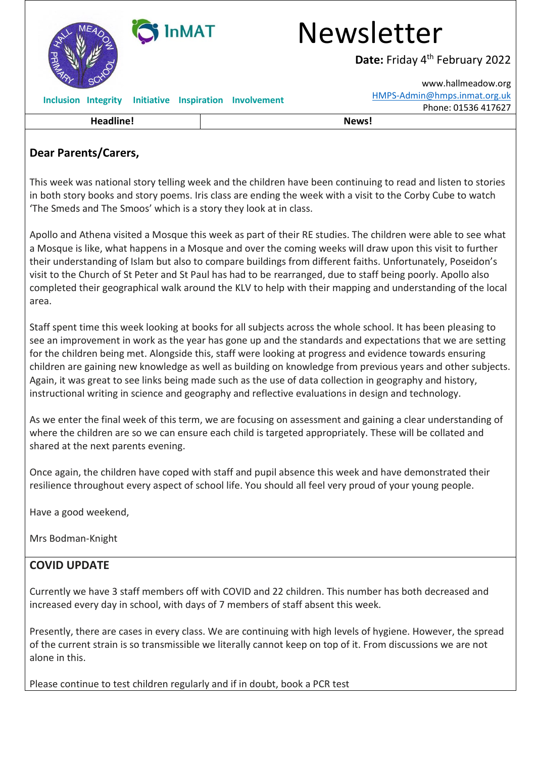| <b>InMAT</b><br>MA  |                                    | Newsletter<br>Date: Friday 4 <sup>th</sup> February 2022<br>www.hallmeadow.org<br>HMPS-Admin@hmps.inmat.org.uk |
|---------------------|------------------------------------|----------------------------------------------------------------------------------------------------------------|
| Inclusion Integrity | Initiative Inspiration Involvement | Phone: 01536 417627                                                                                            |
| <b>Headline!</b>    |                                    | News!                                                                                                          |

## **Dear Parents/Carers,**

This week was national story telling week and the children have been continuing to read and listen to stories in both story books and story poems. Iris class are ending the week with a visit to the Corby Cube to watch 'The Smeds and The Smoos' which is a story they look at in class.

Apollo and Athena visited a Mosque this week as part of their RE studies. The children were able to see what a Mosque is like, what happens in a Mosque and over the coming weeks will draw upon this visit to further their understanding of Islam but also to compare buildings from different faiths. Unfortunately, Poseidon's visit to the Church of St Peter and St Paul has had to be rearranged, due to staff being poorly. Apollo also completed their geographical walk around the KLV to help with their mapping and understanding of the local area.

Staff spent time this week looking at books for all subjects across the whole school. It has been pleasing to see an improvement in work as the year has gone up and the standards and expectations that we are setting for the children being met. Alongside this, staff were looking at progress and evidence towards ensuring children are gaining new knowledge as well as building on knowledge from previous years and other subjects. Again, it was great to see links being made such as the use of data collection in geography and history, instructional writing in science and geography and reflective evaluations in design and technology.

As we enter the final week of this term, we are focusing on assessment and gaining a clear understanding of where the children are so we can ensure each child is targeted appropriately. These will be collated and shared at the next parents evening.

Once again, the children have coped with staff and pupil absence this week and have demonstrated their resilience throughout every aspect of school life. You should all feel very proud of your young people.

Have a good weekend,

Mrs Bodman-Knight

## **COVID UPDATE**

Currently we have 3 staff members off with COVID and 22 children. This number has both decreased and increased every day in school, with days of 7 members of staff absent this week.

Presently, there are cases in every class. We are continuing with high levels of hygiene. However, the spread of the current strain is so transmissible we literally cannot keep on top of it. From discussions we are not alone in this.

Please continue to test children regularly and if in doubt, book a PCR test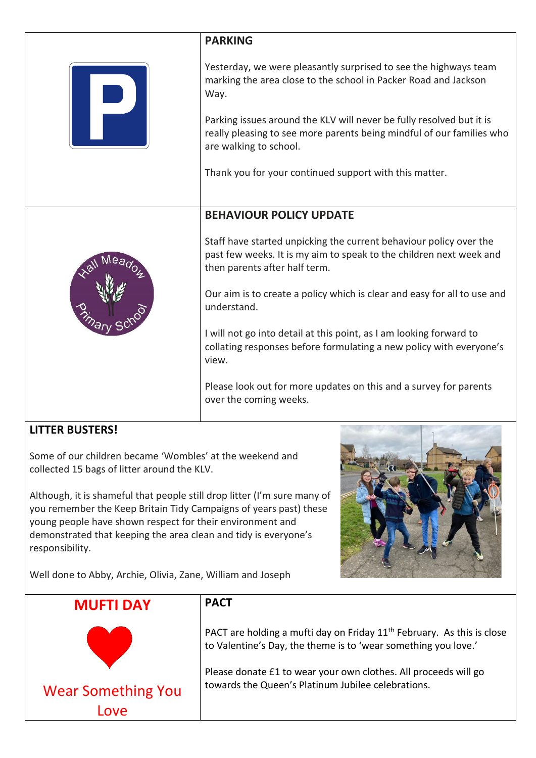|                                                                                                                                                                                                                                                                                                                                                                                                             | <b>PARKING</b>                                                                                                                                                             |  |
|-------------------------------------------------------------------------------------------------------------------------------------------------------------------------------------------------------------------------------------------------------------------------------------------------------------------------------------------------------------------------------------------------------------|----------------------------------------------------------------------------------------------------------------------------------------------------------------------------|--|
|                                                                                                                                                                                                                                                                                                                                                                                                             | Yesterday, we were pleasantly surprised to see the highways team<br>marking the area close to the school in Packer Road and Jackson<br>Way.                                |  |
|                                                                                                                                                                                                                                                                                                                                                                                                             | Parking issues around the KLV will never be fully resolved but it is<br>really pleasing to see more parents being mindful of our families who<br>are walking to school.    |  |
|                                                                                                                                                                                                                                                                                                                                                                                                             | Thank you for your continued support with this matter.                                                                                                                     |  |
|                                                                                                                                                                                                                                                                                                                                                                                                             | <b>BEHAVIOUR POLICY UPDATE</b>                                                                                                                                             |  |
|                                                                                                                                                                                                                                                                                                                                                                                                             | Staff have started unpicking the current behaviour policy over the<br>past few weeks. It is my aim to speak to the children next week and<br>then parents after half term. |  |
|                                                                                                                                                                                                                                                                                                                                                                                                             | Our aim is to create a policy which is clear and easy for all to use and<br>understand.                                                                                    |  |
|                                                                                                                                                                                                                                                                                                                                                                                                             | I will not go into detail at this point, as I am looking forward to<br>collating responses before formulating a new policy with everyone's<br>view.                        |  |
|                                                                                                                                                                                                                                                                                                                                                                                                             | Please look out for more updates on this and a survey for parents<br>over the coming weeks.                                                                                |  |
| <b>LITTER BUSTERS!</b>                                                                                                                                                                                                                                                                                                                                                                                      |                                                                                                                                                                            |  |
| Some of our children became 'Wombles' at the weekend and<br>collected 15 bags of litter around the KLV.<br>Although, it is shameful that people still drop litter (I'm sure many of<br>you remember the Keep Britain Tidy Campaigns of years past) these<br>young people have shown respect for their environment and<br>demonstrated that keeping the area clean and tidy is everyone's<br>responsibility. |                                                                                                                                                                            |  |
| Well done to Abby, Archie, Olivia, Zane, William and Joseph                                                                                                                                                                                                                                                                                                                                                 |                                                                                                                                                                            |  |
| <b>MUFTI DAY</b>                                                                                                                                                                                                                                                                                                                                                                                            | <b>PACT</b>                                                                                                                                                                |  |
|                                                                                                                                                                                                                                                                                                                                                                                                             | PACT are holding a mufti day on Friday $11th$ February. As this is close<br>to Valentine's Day, the theme is to 'wear something you love.'                                 |  |
| <b>Wear Something You</b><br>Love                                                                                                                                                                                                                                                                                                                                                                           | Please donate £1 to wear your own clothes. All proceeds will go<br>towards the Queen's Platinum Jubilee celebrations.                                                      |  |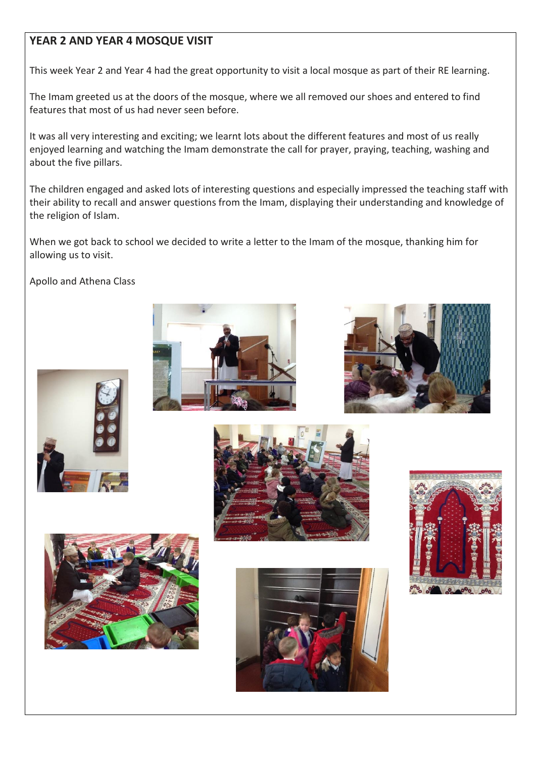## **YEAR 2 AND YEAR 4 MOSQUE VISIT**

This week Year 2 and Year 4 had the great opportunity to visit a local mosque as part of their RE learning.

The Imam greeted us at the doors of the mosque, where we all removed our shoes and entered to find features that most of us had never seen before.

It was all very interesting and exciting; we learnt lots about the different features and most of us really enjoyed learning and watching the Imam demonstrate the call for prayer, praying, teaching, washing and about the five pillars.

The children engaged and asked lots of interesting questions and especially impressed the teaching staff with their ability to recall and answer questions from the Imam, displaying their understanding and knowledge of the religion of Islam.

When we got back to school we decided to write a letter to the Imam of the mosque, thanking him for allowing us to visit.

Apollo and Athena Class













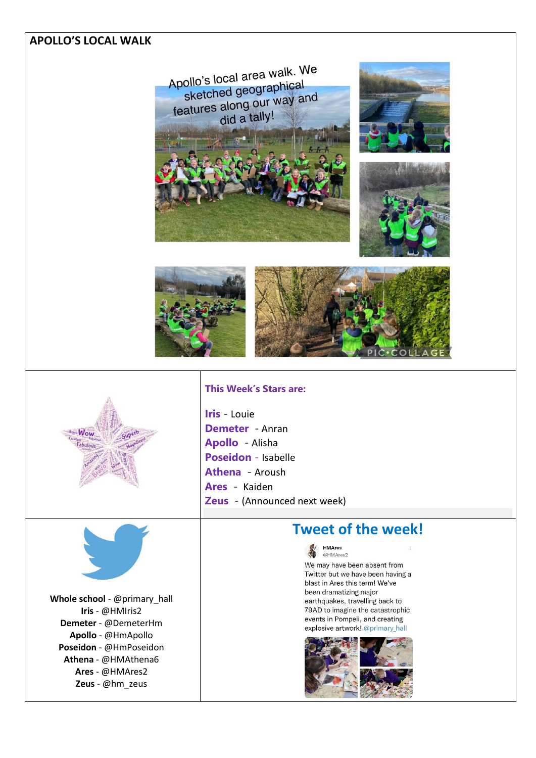## **APOLLO'S LOCAL WALK**